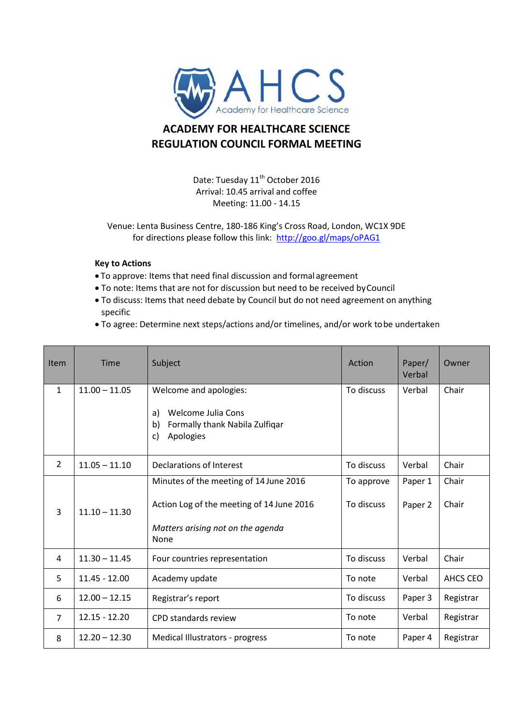

## **ACADEMY FOR HEALTHCARE SCIENCE REGULATION COUNCIL FORMAL MEETING**

Date: Tuesday 11<sup>th</sup> October 2016 Arrival: 10.45 arrival and coffee Meeting: 11.00 - 14.15

Venue: Lenta Business Centre, 180-186 King's Cross Road, London, WC1X 9DE for directions please follow this link:<http://goo.gl/maps/oPAG1>

## **Key to Actions**

- To approve: Items that need final discussion and formal agreement
- To note: Items that are not for discussion but need to be received byCouncil
- To discuss: Items that need debate by Council but do not need agreement on anything specific
- To agree: Determine next steps/actions and/or timelines, and/or work tobe undertaken

| <b>Item</b>    | Time            | Subject                                                                                                                          | Action                   | Paper/<br>Verbal   | Owner          |
|----------------|-----------------|----------------------------------------------------------------------------------------------------------------------------------|--------------------------|--------------------|----------------|
| $\mathbf{1}$   | $11.00 - 11.05$ | Welcome and apologies:<br>Welcome Julia Cons<br>a)<br>Formally thank Nabila Zulfiqar<br>$\mathsf{b}$<br>Apologies<br>C)          | To discuss               | Verbal             | Chair          |
| $\overline{2}$ | $11.05 - 11.10$ | Declarations of Interest                                                                                                         | To discuss               | Verbal             | Chair          |
| 3              | $11.10 - 11.30$ | Minutes of the meeting of 14 June 2016<br>Action Log of the meeting of 14 June 2016<br>Matters arising not on the agenda<br>None | To approve<br>To discuss | Paper 1<br>Paper 2 | Chair<br>Chair |
| 4              | $11.30 - 11.45$ | Four countries representation                                                                                                    | To discuss               | Verbal             | Chair          |
| 5              | $11.45 - 12.00$ | Academy update                                                                                                                   | To note                  | Verbal             | AHCS CEO       |
| 6              | $12.00 - 12.15$ | Registrar's report                                                                                                               | To discuss               | Paper 3            | Registrar      |
| $\overline{7}$ | $12.15 - 12.20$ | CPD standards review                                                                                                             | To note                  | Verbal             | Registrar      |
| 8              | $12.20 - 12.30$ | Medical Illustrators - progress                                                                                                  | To note                  | Paper 4            | Registrar      |